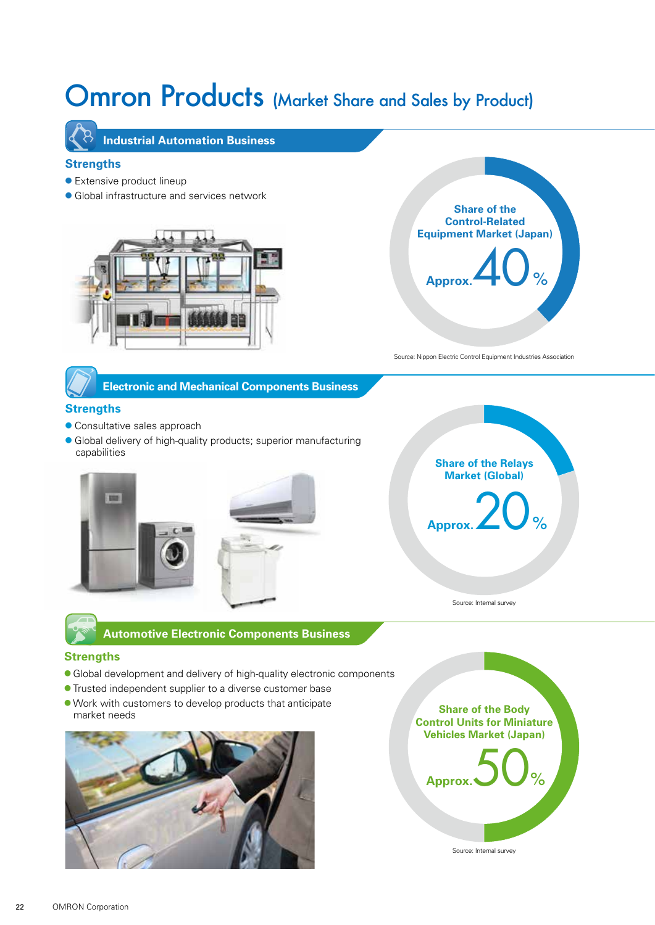# Omron Products (Market Share and Sales by Product)



 **Industrial Automation Business**

## **Strengths**

- Extensive product lineup
- Global infrastructure and services network





Source: Nippon Electric Control Equipment Industries Association

# **Electronic and Mechanical Components Business**

## **Strengths**

- Consultative sales approach
- Global delivery of high-quality products; superior manufacturing capabilities





 **Automotive Electronic Components Business**

#### **Strengths**

- Global development and delivery of high-quality electronic components
- Trusted independent supplier to a diverse customer base
- Work with customers to develop products that anticipate market needs







Source: Internal survey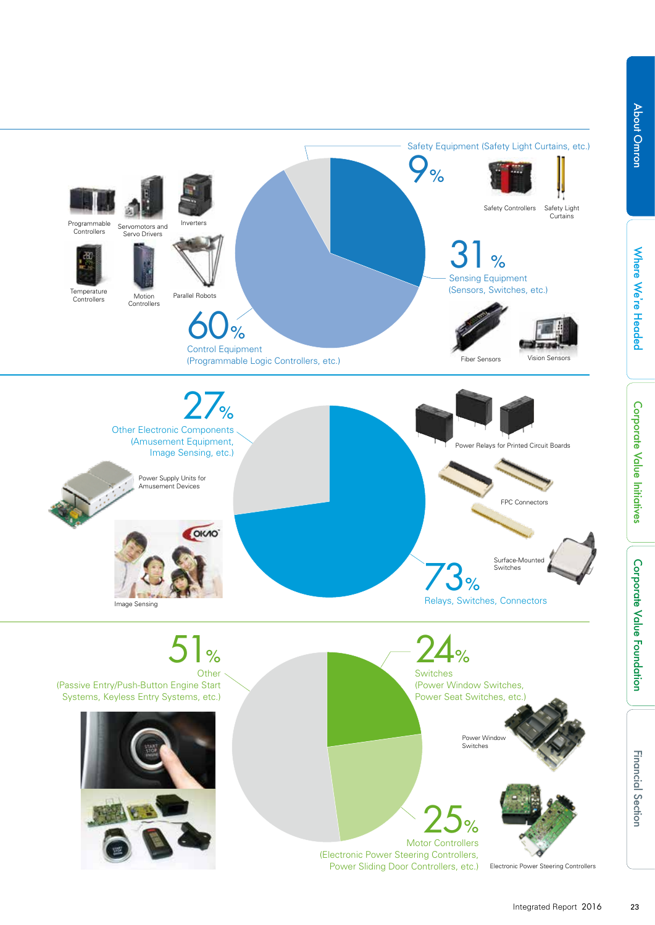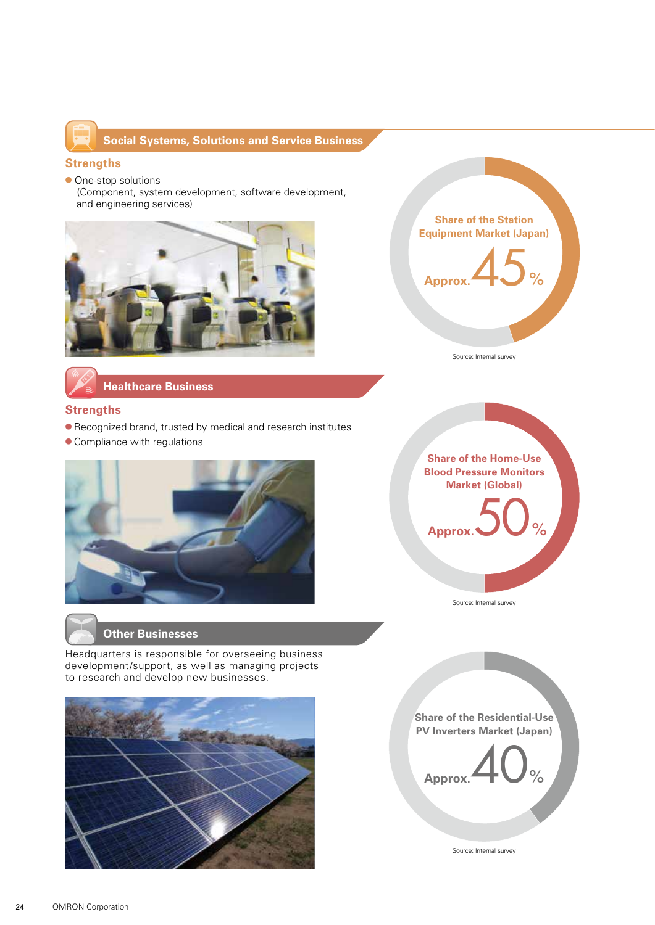

# **Social Systems, Solutions and Service Business**

#### **Strengths**

● One-stop solutions (Component, system development, software development, and engineering services)





Source: Internal survey

 **Healthcare Business**

## **Strengths**

- Recognized brand, trusted by medical and research institutes
- Compliance with regulations





Source: Internal survey

## **Other Businesses**

Headquarters is responsible for overseeing business development/support, as well as managing projects to research and develop new businesses.





Source: Internal survey